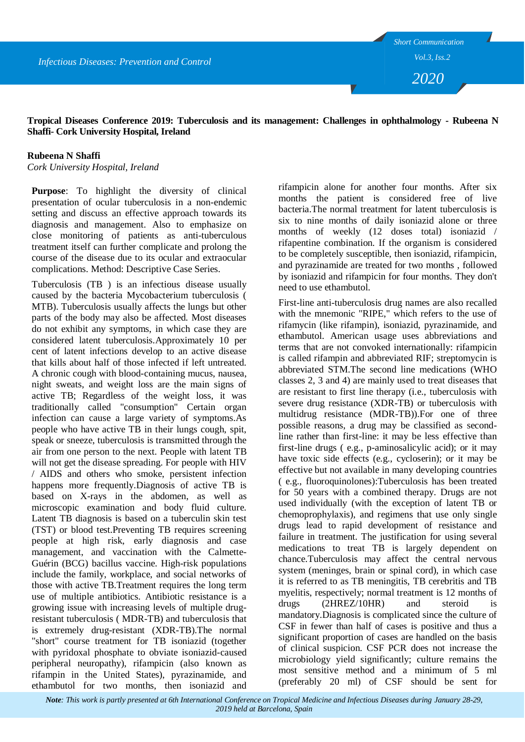*Infectious Diseases: Prevention and Control*

*2020*

**Tropical Diseases Conference 2019: Tuberculosis and its management: Challenges in ophthalmology - Rubeena N Shaffi- Cork University Hospital, Ireland**

## **Rubeena N Shaffi**

*Cork University Hospital, Ireland*

**Purpose**: To highlight the diversity of clinical presentation of ocular tuberculosis in a non-endemic setting and discuss an effective approach towards its diagnosis and management. Also to emphasize on close monitoring of patients as anti-tuberculous treatment itself can further complicate and prolong the course of the disease due to its ocular and extraocular complications. Method: Descriptive Case Series.

Tuberculosis (TB ) is an infectious disease usually caused by the bacteria Mycobacterium tuberculosis ( MTB). Tuberculosis usually affects the lungs but other parts of the body may also be affected. Most diseases do not exhibit any symptoms, in which case they are considered latent tuberculosis.Approximately 10 per cent of latent infections develop to an active disease that kills about half of those infected if left untreated. A chronic cough with blood-containing mucus, nausea, night sweats, and weight loss are the main signs of active TB; Regardless of the weight loss, it was traditionally called "consumption" Certain organ infection can cause a large variety of symptoms.As people who have active TB in their lungs cough, spit, speak or sneeze, tuberculosis is transmitted through the air from one person to the next. People with latent TB will not get the disease spreading. For people with HIV / AIDS and others who smoke, persistent infection happens more frequently.Diagnosis of active TB is based on X-rays in the abdomen, as well as microscopic examination and body fluid culture. Latent TB diagnosis is based on a tuberculin skin test (TST) or blood test.Preventing TB requires screening people at high risk, early diagnosis and case management, and vaccination with the Calmette-Guérin (BCG) bacillus vaccine. High-risk populations include the family, workplace, and social networks of those with active TB.Treatment requires the long term use of multiple antibiotics. Antibiotic resistance is a growing issue with increasing levels of multiple drugresistant tuberculosis ( MDR-TB) and tuberculosis that is extremely drug-resistant (XDR-TB).The normal "short" course treatment for TB isoniazid (together with pyridoxal phosphate to obviate isoniazid-caused peripheral neuropathy), rifampicin (also known as rifampin in the United States), pyrazinamide, and ethambutol for two months, then isoniazid and

rifampicin alone for another four months. After six months the patient is considered free of live bacteria.The normal treatment for latent tuberculosis is six to nine months of daily isoniazid alone or three months of weekly (12 doses total) isoniazid / rifapentine combination. If the organism is considered to be completely susceptible, then isoniazid, rifampicin, and pyrazinamide are treated for two months , followed by isoniazid and rifampicin for four months. They don't need to use ethambutol.

First-line anti-tuberculosis drug names are also recalled with the mnemonic "RIPE," which refers to the use of rifamycin (like rifampin), isoniazid, pyrazinamide, and ethambutol. American usage uses abbreviations and terms that are not convoked internationally: rifampicin is called rifampin and abbreviated RIF; streptomycin is abbreviated STM.The second line medications (WHO classes 2, 3 and 4) are mainly used to treat diseases that are resistant to first line therapy (i.e., tuberculosis with severe drug resistance (XDR-TB) or tuberculosis with multidrug resistance (MDR-TB)).For one of three possible reasons, a drug may be classified as secondline rather than first-line: it may be less effective than first-line drugs ( e.g., p-aminosalicylic acid); or it may have toxic side effects (e.g., cycloserin); or it may be effective but not available in many developing countries ( e.g., fluoroquinolones):Tuberculosis has been treated for 50 years with a combined therapy. Drugs are not used individually (with the exception of latent TB or chemoprophylaxis), and regimens that use only single drugs lead to rapid development of resistance and failure in treatment. The justification for using several medications to treat TB is largely dependent on chance.Tuberculosis may affect the central nervous system (meninges, brain or spinal cord), in which case it is referred to as TB meningitis, TB cerebritis and TB myelitis, respectively; normal treatment is 12 months of drugs (2HREZ/10HR) and steroid is mandatory.Diagnosis is complicated since the culture of CSF in fewer than half of cases is positive and thus a significant proportion of cases are handled on the basis of clinical suspicion. CSF PCR does not increase the microbiology yield significantly; culture remains the most sensitive method and a minimum of 5 ml (preferably 20 ml) of CSF should be sent for

*Note: This work is partly presented at 6th International Conference on Tropical Medicine and Infectious Diseases during January 28-29, 2019 held at Barcelona, Spain*